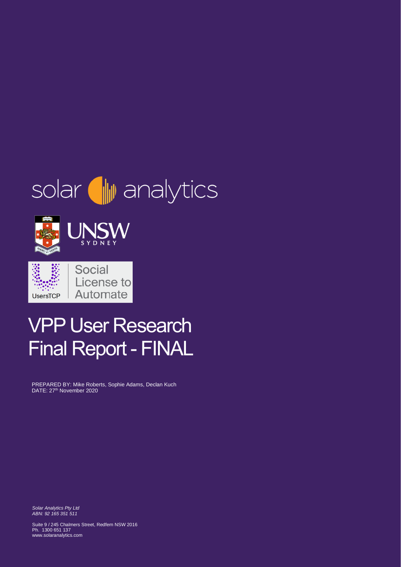# solar **I** analytics



## VPP User Research Final Report - FINAL

PREPARED BY: Mike Roberts, Sophie Adams, Declan Kuch DATE: 27<sup>th</sup> November 2020

*Solar Analytics Pty Ltd ABN: 92 165 351 511*

Suite 9 / 245 Chalmers Street, Redfern NSW 2016 Ph. 1300 651 137 www.solaranalytics.com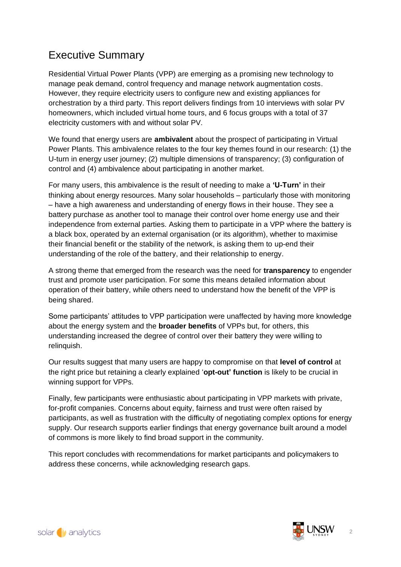## Executive Summary

Residential Virtual Power Plants (VPP) are emerging as a promising new technology to manage peak demand, control frequency and manage network augmentation costs. However, they require electricity users to configure new and existing appliances for orchestration by a third party. This report delivers findings from 10 interviews with solar PV homeowners, which included virtual home tours, and 6 focus groups with a total of 37 electricity customers with and without solar PV.

We found that energy users are **ambivalent** about the prospect of participating in Virtual Power Plants. This ambivalence relates to the four key themes found in our research: (1) the U-turn in energy user journey; (2) multiple dimensions of transparency; (3) configuration of control and (4) ambivalence about participating in another market.

For many users, this ambivalence is the result of needing to make a **'U-Turn'** in their thinking about energy resources. Many solar households – particularly those with monitoring – have a high awareness and understanding of energy flows in their house. They see a battery purchase as another tool to manage their control over home energy use and their independence from external parties. Asking them to participate in a VPP where the battery is a black box, operated by an external organisation (or its algorithm), whether to maximise their financial benefit or the stability of the network, is asking them to up-end their understanding of the role of the battery, and their relationship to energy.

A strong theme that emerged from the research was the need for **transparency** to engender trust and promote user participation. For some this means detailed information about operation of their battery, while others need to understand how the benefit of the VPP is being shared.

Some participants' attitudes to VPP participation were unaffected by having more knowledge about the energy system and the **broader benefits** of VPPs but, for others, this understanding increased the degree of control over their battery they were willing to relinquish.

Our results suggest that many users are happy to compromise on that **level of control** at the right price but retaining a clearly explained '**opt-out' function** is likely to be crucial in winning support for VPPs.

Finally, few participants were enthusiastic about participating in VPP markets with private, for-profit companies. Concerns about equity, fairness and trust were often raised by participants, as well as frustration with the difficulty of negotiating complex options for energy supply. Our research supports earlier findings that energy governance built around a model of commons is more likely to find broad support in the community.

This report concludes with recommendations for market participants and policymakers to address these concerns, while acknowledging research gaps.

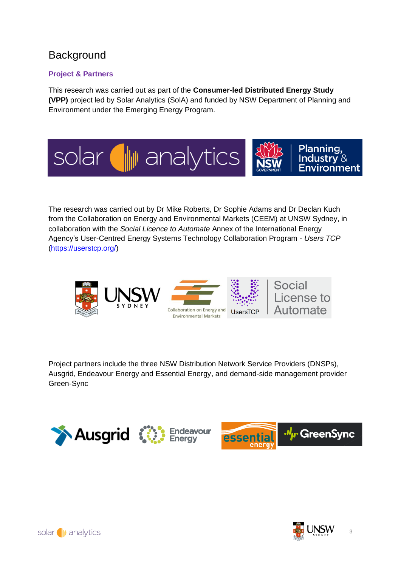## **Background**

#### **Project & Partners**

This research was carried out as part of the **Consumer-led Distributed Energy Study (VPP)** project led by Solar Analytics (SolA) and funded by NSW Department of Planning and Environment under the Emerging Energy Program.



The research was carried out by Dr Mike Roberts, Dr Sophie Adams and Dr Declan Kuch from the Collaboration on Energy and Environmental Markets (CEEM) at UNSW Sydney, in collaboration with the *Social Licence to Automate* Annex of the International Energy Agency's User-Centred Energy Systems Technology Collaboration Program - *Users TCP* [\(https://userstcp.org/\)](https://userstcp.org/)



Project partners include the three NSW Distribution Network Service Providers (DNSPs), Ausgrid, Endeavour Energy and Essential Energy, and demand-side management provider Green-Sync



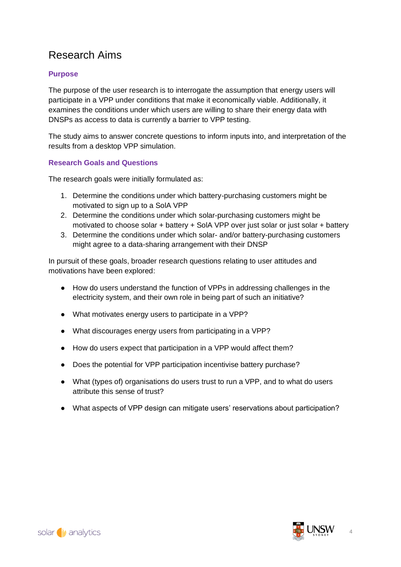## Research Aims

#### **Purpose**

The purpose of the user research is to interrogate the assumption that energy users will participate in a VPP under conditions that make it economically viable. Additionally, it examines the conditions under which users are willing to share their energy data with DNSPs as access to data is currently a barrier to VPP testing.

The study aims to answer concrete questions to inform inputs into, and interpretation of the results from a desktop VPP simulation.

#### **Research Goals and Questions**

The research goals were initially formulated as:

- 1. Determine the conditions under which battery-purchasing customers might be motivated to sign up to a SolA VPP
- 2. Determine the conditions under which solar-purchasing customers might be motivated to choose solar + battery + SolA VPP over just solar or just solar + battery
- 3. Determine the conditions under which solar- and/or battery-purchasing customers might agree to a data-sharing arrangement with their DNSP

In pursuit of these goals, broader research questions relating to user attitudes and motivations have been explored:

- How do users understand the function of VPPs in addressing challenges in the electricity system, and their own role in being part of such an initiative?
- What motivates energy users to participate in a VPP?
- What discourages energy users from participating in a VPP?
- How do users expect that participation in a VPP would affect them?
- Does the potential for VPP participation incentivise battery purchase?
- What (types of) organisations do users trust to run a VPP, and to what do users attribute this sense of trust?
- What aspects of VPP design can mitigate users' reservations about participation?

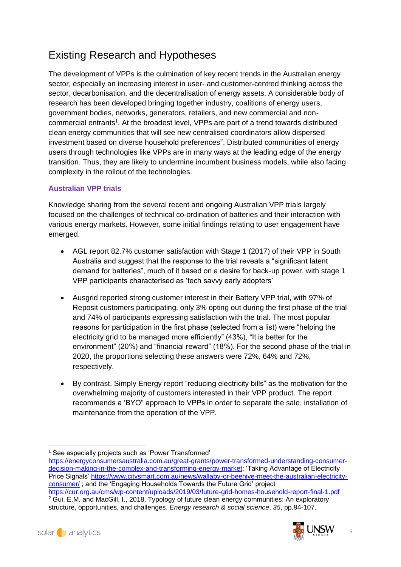## Existing Research and Hypotheses

The development of VPPs is the culmination of key recent trends in the Australian energy sector, especially an increasing interest in user- and customer-centred thinking across the sector, decarbonisation, and the decentralisation of energy assets. A considerable body of research has been developed bringing together industry, coalitions of energy users, government bodies, networks, generators, retailers, and new commercial and noncommercial entrants<sup>1</sup>. At the broadest level, VPPs are part of a trend towards distributed clean energy communities that will see new centralised coordinators allow dispersed investment based on diverse household preferences<sup>2</sup>. Distributed communities of energy users through technologies like VPPs are in many ways at the leading edge of the energy transition. Thus, they are likely to undermine incumbent business models, while also facing complexity in the rollout of the technologies.

#### **Australian VPP trials**

Knowledge sharing from the several recent and ongoing Australian VPP trials largely focused on the challenges of technical co-ordination of batteries and their interaction with various energy markets. However, some initial findings relating to user engagement have emerged.

- AGL report 82.7% customer satisfaction with Stage 1 (2017) of their VPP in South Australia and suggest that the response to the trial reveals a "significant latent demand for batteries", much of it based on a desire for back-up power, with stage 1 VPP participants characterised as 'tech savvy early adopters'
- Ausgrid reported strong customer interest in their Battery VPP trial, with 97% of Reposit customers participating, only 3% opting out during the first phase of the trial and 74% of participants expressing satisfaction with the trial. The most popular reasons for participation in the first phase (selected from a list) were "helping the electricity grid to be managed more efficiently" (43%), "It is better for the environment" (20%) and "financial reward" (18%). For the second phase of the trial in 2020, the proportions selecting these answers were 72%, 64% and 72%, respectively.
- By contrast, Simply Energy report "reducing electricity bills" as the motivation for the overwhelming majority of customers interested in their VPP product. The report recommends a 'BYO" approach to VPPs in order to separate the sale, installation of maintenance from the operation of the VPP.

structure, opportunities, and challenges. *Energy research & social science*, *35*, pp.94-107.



<sup>&</sup>lt;sup>1</sup> See especially projects such as 'Power Transformed'

[https://energyconsumersaustralia.com.au/great-grants/power-transformed-understanding-consumer](https://energyconsumersaustralia.com.au/great-grants/power-transformed-understanding-consumer-decision-making-in-the-complex-and-transforming-energy-market)[decision-making-in-the-complex-and-transforming-energy-market;](https://energyconsumersaustralia.com.au/great-grants/power-transformed-understanding-consumer-decision-making-in-the-complex-and-transforming-energy-market) 'Taking Advantage of Electricity Price Signals' [https://www.citysmart.com.au/news/wallaby-or-beehive-meet-the-australian-electricity](https://www.citysmart.com.au/news/wallaby-or-beehive-meet-the-australian-electricity-consumer/)[consumer/](https://www.citysmart.com.au/news/wallaby-or-beehive-meet-the-australian-electricity-consumer/) ; and the 'Engaging Households Towards the Future Grid' project <https://cur.org.au/cms/wp-content/uploads/2019/03/future-grid-homes-household-report-final-1.pdf> <sup>2</sup> Gui, E.M. and MacGill, I., 2018. Typology of future clean energy communities: An exploratory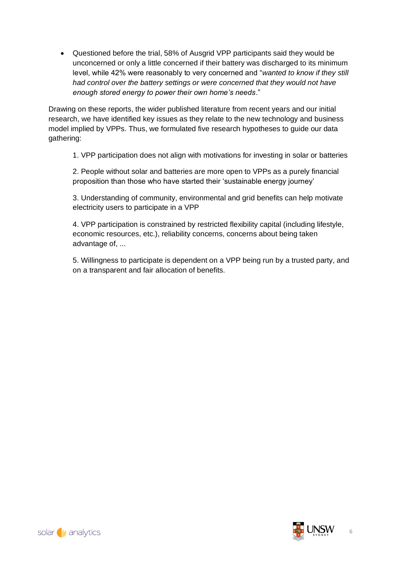• Questioned before the trial, 58% of Ausgrid VPP participants said they would be unconcerned or only a little concerned if their battery was discharged to its minimum level, while 42% were reasonably to very concerned and "*wanted to know if they still had control over the battery settings or were concerned that they would not have enough stored energy to power their own home's needs*."

Drawing on these reports, the wider published literature from recent years and our initial research, we have identified key issues as they relate to the new technology and business model implied by VPPs. Thus, we formulated five research hypotheses to guide our data gathering:

1. VPP participation does not align with motivations for investing in solar or batteries

2. People without solar and batteries are more open to VPPs as a purely financial proposition than those who have started their 'sustainable energy journey'

3. Understanding of community, environmental and grid benefits can help motivate electricity users to participate in a VPP

4. VPP participation is constrained by restricted flexibility capital (including lifestyle, economic resources, etc.), reliability concerns, concerns about being taken advantage of, ...

5. Willingness to participate is dependent on a VPP being run by a trusted party, and on a transparent and fair allocation of benefits.

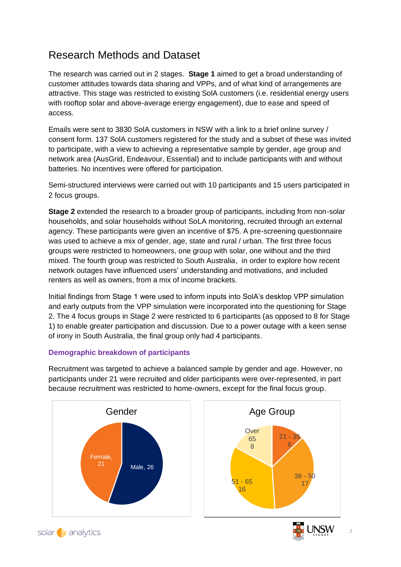## Research Methods and Dataset

The research was carried out in 2 stages. **Stage 1** aimed to get a broad understanding of customer attitudes towards data sharing and VPPs, and of what kind of arrangements are attractive. This stage was restricted to existing SolA customers (i.e. residential energy users with rooftop solar and above-average energy engagement), due to ease and speed of access.

Emails were sent to 3830 SolA customers in NSW with a link to a brief online survey / consent form. 137 SolA customers registered for the study and a subset of these was invited to participate, with a view to achieving a representative sample by gender, age group and network area (AusGrid, Endeavour, Essential) and to include participants with and without batteries. No incentives were offered for participation.

Semi-structured interviews were carried out with 10 participants and 15 users participated in 2 focus groups.

**Stage 2** extended the research to a broader group of participants, including from non-solar households, and solar households without SoLA monitoring, recruited through an external agency. These participants were given an incentive of \$75. A pre-screening questionnaire was used to achieve a mix of gender, age, state and rural / urban. The first three focus groups were restricted to homeowners, one group with solar, one without and the third mixed. The fourth group was restricted to South Australia, in order to explore how recent network outages have influenced users' understanding and motivations, and included renters as well as owners, from a mix of income brackets.

Initial findings from Stage 1 were used to inform inputs into SolA's desktop VPP simulation and early outputs from the VPP simulation were incorporated into the questioning for Stage 2. The 4 focus groups in Stage 2 were restricted to 6 participants (as opposed to 8 for Stage 1) to enable greater participation and discussion. Due to a power outage with a keen sense of irony in South Australia, the final group only had 4 participants.

#### **Demographic breakdown of participants**

Recruitment was targeted to achieve a balanced sample by gender and age. However, no participants under 21 were recruited and older participants were over-represented, in part because recruitment was restricted to home-owners, except for the final focus group.

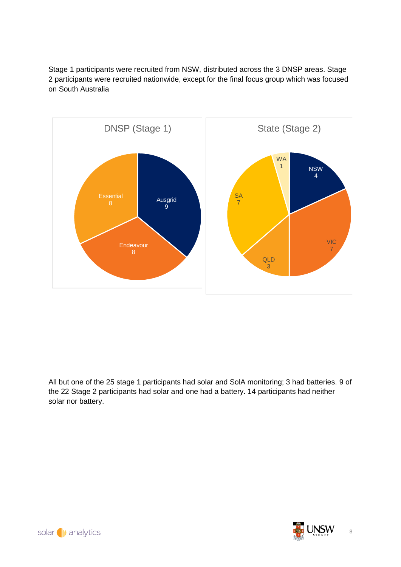Stage 1 participants were recruited from NSW, distributed across the 3 DNSP areas. Stage 2 participants were recruited nationwide, except for the final focus group which was focused on South Australia



All but one of the 25 stage 1 participants had solar and SolA monitoring; 3 had batteries. 9 of the 22 Stage 2 participants had solar and one had a battery. 14 participants had neither solar nor battery.



solar wanalytics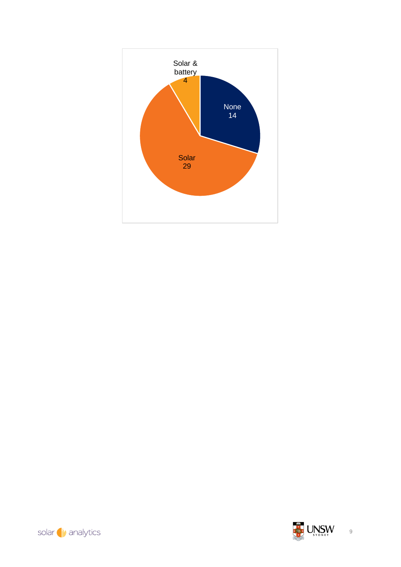





9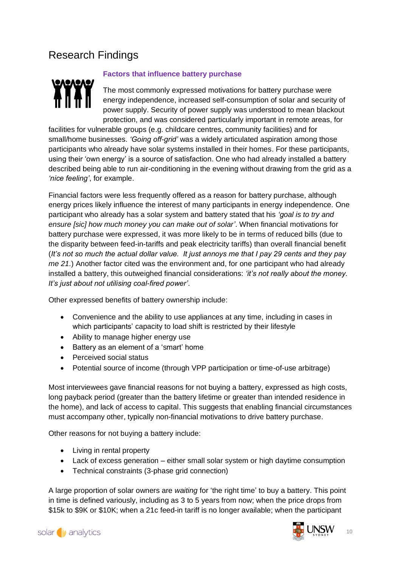## Research Findings



#### **Factors that influence battery purchase**

The most commonly expressed motivations for battery purchase were energy independence, increased self-consumption of solar and security of power supply. Security of power supply was understood to mean blackout protection, and was considered particularly important in remote areas, for

facilities for vulnerable groups (e.g. childcare centres, community facilities) and for small/home businesses. *'Going off-grid'* was a widely articulated aspiration among those participants who already have solar systems installed in their homes. For these participants, using their 'own energy' is a source of satisfaction. One who had already installed a battery described being able to run air-conditioning in the evening without drawing from the grid as a *'nice feeling'*, for example.

Financial factors were less frequently offered as a reason for battery purchase, although energy prices likely influence the interest of many participants in energy independence. One participant who already has a solar system and battery stated that his *'goal is to try and ensure [sic] how much money you can make out of solar'*. When financial motivations for battery purchase were expressed, it was more likely to be in terms of reduced bills (due to the disparity between feed-in-tariffs and peak electricity tariffs) than overall financial benefit (*It's not so much the actual dollar value. It just annoys me that I pay 29 cents and they pay me 21.*) Another factor cited was the environment and, for one participant who had already installed a battery, this outweighed financial considerations: *'it's not really about the money. It's just about not utilising coal-fired power'*.

Other expressed benefits of battery ownership include:

- Convenience and the ability to use appliances at any time, including in cases in which participants' capacity to load shift is restricted by their lifestyle
- Ability to manage higher energy use
- Battery as an element of a 'smart' home
- Perceived social status
- Potential source of income (through VPP participation or time-of-use arbitrage)

Most interviewees gave financial reasons for not buying a battery, expressed as high costs, long payback period (greater than the battery lifetime or greater than intended residence in the home), and lack of access to capital. This suggests that enabling financial circumstances must accompany other, typically non-financial motivations to drive battery purchase.

Other reasons for not buying a battery include:

- Living in rental property
- Lack of excess generation either small solar system or high daytime consumption
- Technical constraints (3-phase grid connection)

A large proportion of solar owners are *waiting* for 'the right time' to buy a battery. This point in time is defined variously, including as 3 to 5 years from now; when the price drops from \$15k to \$9K or \$10K; when a 21c feed-in tariff is no longer available; when the participant

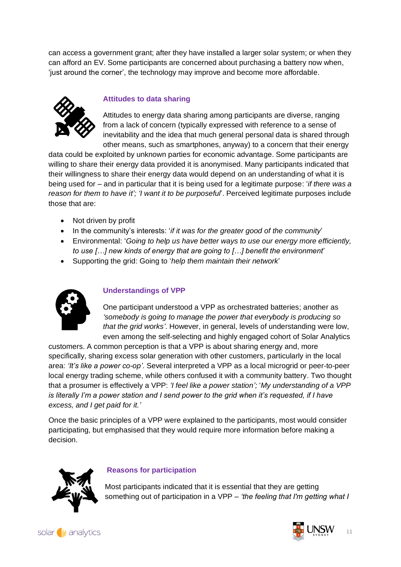can access a government grant; after they have installed a larger solar system; or when they can afford an EV. Some participants are concerned about purchasing a battery now when, 'just around the corner', the technology may improve and become more affordable.



#### **Attitudes to data sharing**

Attitudes to energy data sharing among participants are diverse, ranging from a lack of concern (typically expressed with reference to a sense of inevitability and the idea that much general personal data is shared through other means, such as smartphones, anyway) to a concern that their energy

data could be exploited by unknown parties for economic advantage. Some participants are willing to share their energy data provided it is anonymised. Many participants indicated that their willingness to share their energy data would depend on an understanding of what it is being used for – and in particular that it is being used for a legitimate purpose: '*if there was a reason for them to have it'; 'I want it to be purposeful*'. Perceived legitimate purposes include those that are:

- Not driven by profit
- In the community's interests: '*if it was for the greater good of the community*'
- Environmental: '*Going to help us have better ways to use our energy more efficiently, to use […] new kinds of energy that are going to […] benefit the environment*'
- Supporting the grid: Going to '*help them maintain their network*'



#### **Understandings of VPP**

One participant understood a VPP as orchestrated batteries; another as *'somebody is going to manage the power that everybody is producing so that the grid works'*. However, in general, levels of understanding were low, even among the self-selecting and highly engaged cohort of Solar Analytics

customers. A common perception is that a VPP is about sharing energy and, more specifically, sharing excess solar generation with other customers, particularly in the local area: *'It's like a power co-op'*. Several interpreted a VPP as a local microgrid or peer-to-peer local energy trading scheme, while others confused it with a community battery. Two thought that a prosumer is effectively a VPP: *'I feel like a power station';* '*My understanding of a VPP is literally I'm a power station and I send power to the grid when it's requested, if I have excess, and I get paid for it.'*

Once the basic principles of a VPP were explained to the participants, most would consider participating, but emphasised that they would require more information before making a decision.



#### **Reasons for participation**

Most participants indicated that it is essential that they are getting something out of participation in a VPP – *'the feeling that I'm getting what I* 

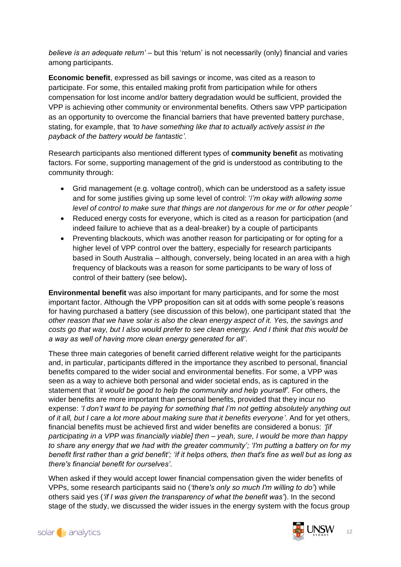*believe is an adequate return'* – but this 'return' is not necessarily (only) financial and varies among participants.

**Economic benefit**, expressed as bill savings or income, was cited as a reason to participate. For some, this entailed making profit from participation while for others compensation for lost income and/or battery degradation would be sufficient, provided the VPP is achieving other community or environmental benefits. Others saw VPP participation as an opportunity to overcome the financial barriers that have prevented battery purchase, stating, for example, that *'to have something like that to actually actively assist in the payback of the battery would be fantastic'.*

Research participants also mentioned different types of **community benefit** as motivating factors. For some, supporting management of the grid is understood as contributing to the community through:

- Grid management (e.g. voltage control), which can be understood as a safety issue and for some justifies giving up some level of control: '/*'m okay with allowing some level of control to make sure that things are not dangerous for me or for other people'*
- Reduced energy costs for everyone, which is cited as a reason for participation (and indeed failure to achieve that as a deal-breaker) by a couple of participants
- Preventing blackouts, which was another reason for participating or for opting for a higher level of VPP control over the battery, especially for research participants based in South Australia – although, conversely, being located in an area with a high frequency of blackouts was a reason for some participants to be wary of loss of control of their battery (see below)**.**

**Environmental benefit** was also important for many participants, and for some the most important factor. Although the VPP proposition can sit at odds with some people's reasons for having purchased a battery (see discussion of this below), one participant stated that *'the other reason that we have solar is also the clean energy aspect of it. Yes, the savings and costs go that way, but I also would prefer to see clean energy. And I think that this would be a way as well of having more clean energy generated for all'*.

These three main categories of benefit carried different relative weight for the participants and, in particular, participants differed in the importance they ascribed to personal, financial benefits compared to the wider social and environmental benefits. For some, a VPP was seen as a way to achieve both personal and wider societal ends, as is captured in the statement that *'it would be good to help the community and help yourself'.* For others, the wider benefits are more important than personal benefits, provided that they incur no expense: *'I don't want to be paying for something that I'm not getting absolutely anything out of it all, but I care a lot more about making sure that it benefits everyone'*. And for yet others, financial benefits must be achieved first and wider benefits are considered a bonus: *'[if participating in a VPP was financially viable] then – yeah, sure, I would be more than happy to share any energy that we had with the greater community'; 'I'm putting a battery on for my benefit first rather than a grid benefit'; 'if it helps others, then that's fine as well but as long as there's financial benefit for ourselves'.*

When asked if they would accept lower financial compensation given the wider benefits of VPPs, some research participants said no (*'there's only so much I'm willing to do'*) while others said yes (*'if I was given the transparency of what the benefit was'*). In the second stage of the study, we discussed the wider issues in the energy system with the focus group

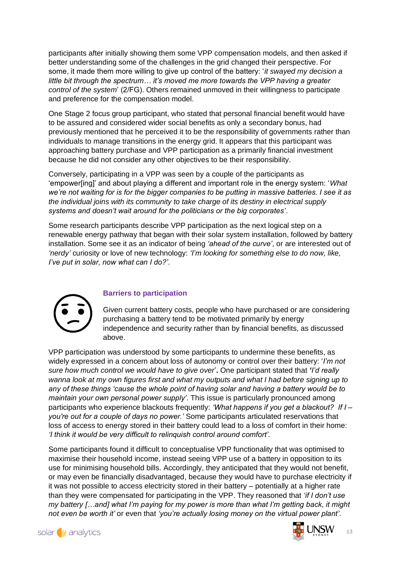participants after initially showing them some VPP compensation models, and then asked if better understanding some of the challenges in the grid changed their perspective. For some, it made them more willing to give up control of the battery: '*it swayed my decision a little bit through the spectrum… it's moved me more towards the VPP having a greater control of the system*' (2/FG). Others remained unmoved in their willingness to participate and preference for the compensation model.

One Stage 2 focus group participant, who stated that personal financial benefit would have to be assured and considered wider social benefits as only a secondary bonus, had previously mentioned that he perceived it to be the responsibility of governments rather than individuals to manage transitions in the energy grid. It appears that this participant was approaching battery purchase and VPP participation as a primarily financial investment because he did not consider any other objectives to be their responsibility.

Conversely, participating in a VPP was seen by a couple of the participants as 'empower[ing]' and about playing a different and important role in the energy system: '*What we're not waiting for is for the bigger companies to be putting in massive batteries. I see it as the individual joins with its community to take charge of its destiny in electrical supply systems and doesn't wait around for the politicians or the big corporates'*.

Some research participants describe VPP participation as the next logical step on a renewable energy pathway that began with their solar system installation, followed by battery installation. Some see it as an indicator of being *'ahead of the curve'*, or are interested out of *'nerdy'* curiosity or love of new technology: *'I'm looking for something else to do now, like, I've put in solar, now what can I do?'*.



#### **Barriers to participation**

Given current battery costs, people who have purchased or are considering purchasing a battery tend to be motivated primarily by energy independence and security rather than by financial benefits, as discussed above.

VPP participation was understood by some participants to undermine these benefits, as widely expressed in a concern about loss of autonomy or control over their battery: '*I'm not sure how much control we would have to give over*'**.** One participant stated that *'I'd really wanna look at my own figures first and what my outputs and what I had before signing up to any of these things 'cause the whole point of having solar and having a battery would be to maintain your own personal power supply'*. This issue is particularly pronounced among participants who experience blackouts frequently: *'What happens if you get a blackout? If I – you're out for a couple of days no power.'* Some participants articulated reservations that loss of access to energy stored in their battery could lead to a loss of comfort in their home: *'I think it would be very difficult to relinquish control around comfort'.*

Some participants found it difficult to conceptualise VPP functionality that was optimised to maximise their household income, instead seeing VPP use of a battery in opposition to its use for minimising household bills. Accordingly, they anticipated that they would not benefit, or may even be financially disadvantaged, because they would have to purchase electricity if it was not possible to access electricity stored in their battery – potentially at a higher rate than they were compensated for participating in the VPP. They reasoned that *'if I don't use my battery […and] what I'm paying for my power is more than what I'm getting back, it might not even be worth it'* or even that *'you're actually losing money on the virtual power plant'.* 



13

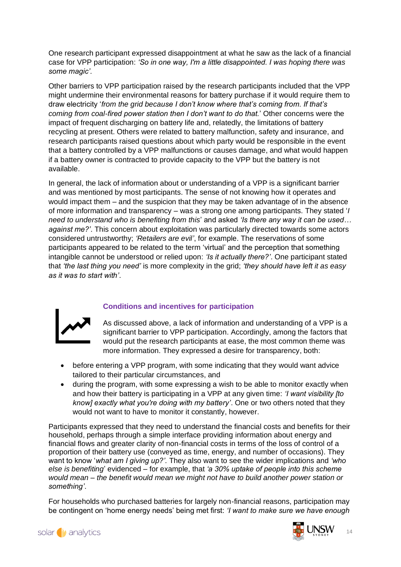One research participant expressed disappointment at what he saw as the lack of a financial case for VPP participation: *'So in one way, I'm a little disappointed. I was hoping there was some magic'.*

Other barriers to VPP participation raised by the research participants included that the VPP might undermine their environmental reasons for battery purchase if it would require them to draw electricity '*from the grid because I don't know where that's coming from. If that's coming from coal-fired power station then I don't want to do that.*' Other concerns were the impact of frequent discharging on battery life and, relatedly, the limitations of battery recycling at present. Others were related to battery malfunction, safety and insurance, and research participants raised questions about which party would be responsible in the event that a battery controlled by a VPP malfunctions or causes damage, and what would happen if a battery owner is contracted to provide capacity to the VPP but the battery is not available.

In general, the lack of information about or understanding of a VPP is a significant barrier and was mentioned by most participants. The sense of not knowing how it operates and would impact them – and the suspicion that they may be taken advantage of in the absence of more information and transparency – was a strong one among participants. They stated '*I need to understand who is benefiting from this*' and asked *'Is there any way it can be used… against me?'*. This concern about exploitation was particularly directed towards some actors considered untrustworthy; *'Retailers are evil'*, for example. The reservations of some participants appeared to be related to the term 'virtual' and the perception that something intangible cannot be understood or relied upon: *'Is it actually there?'*. One participant stated that *'the last thing you need'* is more complexity in the grid; *'they should have left it as easy as it was to start with'*.



#### **Conditions and incentives for participation**

- As discussed above, a lack of information and understanding of a VPP is a significant barrier to VPP participation. Accordingly, among the factors that would put the research participants at ease, the most common theme was more information. They expressed a desire for transparency, both:
- before entering a VPP program, with some indicating that they would want advice tailored to their particular circumstances, and
- during the program, with some expressing a wish to be able to monitor exactly when and how their battery is participating in a VPP at any given time: *'I want visibility [to know] exactly what you're doing with my battery'*. One or two others noted that they would not want to have to monitor it constantly, however.

Participants expressed that they need to understand the financial costs and benefits for their household, perhaps through a simple interface providing information about energy and financial flows and greater clarity of non-financial costs in terms of the loss of control of a proportion of their battery use (conveyed as time, energy, and number of occasions). They want to know '*what am I giving up?'.* They also want to see the wider implications and *'who else is benefiting*' evidenced – for example, that *'a 30% uptake of people into this scheme would mean – the benefit would mean we might not have to build another power station or something'*.

For households who purchased batteries for largely non-financial reasons, participation may be contingent on 'home energy needs' being met first: *'I want to make sure we have enough* 

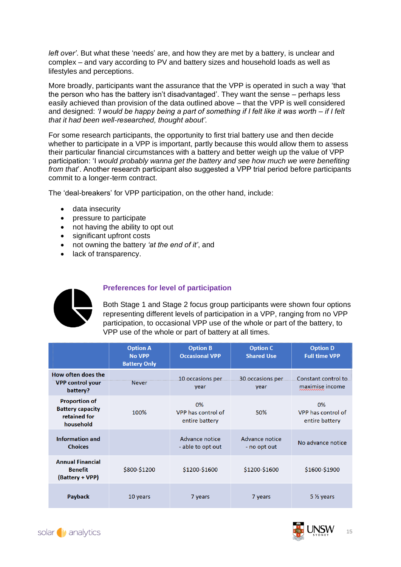*left over'*. But what these 'needs' are, and how they are met by a battery, is unclear and complex – and vary according to PV and battery sizes and household loads as well as lifestyles and perceptions.

More broadly, participants want the assurance that the VPP is operated in such a way 'that the person who has the battery isn't disadvantaged'. They want the sense – perhaps less easily achieved than provision of the data outlined above – that the VPP is well considered and designed: *'I would be happy being a part of something if I felt like it was worth – if I felt that it had been well-researched, thought about'.*

For some research participants, the opportunity to first trial battery use and then decide whether to participate in a VPP is important, partly because this would allow them to assess their particular financial circumstances with a battery and better weigh up the value of VPP participation: 'I *would probably wanna get the battery and see how much we were benefiting from that*'. Another research participant also suggested a VPP trial period before participants commit to a longer-term contract.

The 'deal-breakers' for VPP participation, on the other hand, include:

- data insecurity
- pressure to participate
- not having the ability to opt out
- significant upfront costs
- not owning the battery *'at the end of it'*, and
- lack of transparency.



#### **Preferences for level of participation**

Both Stage 1 and Stage 2 focus group participants were shown four options representing different levels of participation in a VPP, ranging from no VPP participation, to occasional VPP use of the whole or part of the battery, to VPP use of the whole or part of battery at all times.

|                                                                              | <b>Option A</b><br><b>No VPP</b><br><b>Battery Only</b> | <b>Option B</b><br><b>Occasional VPP</b>   | <b>Option C</b><br><b>Shared Use</b> | <b>Option D</b><br><b>Full time VPP</b>    |
|------------------------------------------------------------------------------|---------------------------------------------------------|--------------------------------------------|--------------------------------------|--------------------------------------------|
| How often does the<br><b>VPP control your</b><br>battery?                    | <b>Never</b>                                            | 10 occasions per<br>year                   | 30 occasions per<br>year             | Constant control to<br>maximise income     |
| <b>Proportion of</b><br><b>Battery capacity</b><br>retained for<br>household | 100%                                                    | 0%<br>VPP has control of<br>entire battery | 50%                                  | 0%<br>VPP has control of<br>entire battery |
| <b>Information and</b><br><b>Choices</b>                                     |                                                         | Advance notice<br>- able to opt out        | Advance notice<br>- no opt out       | No advance notice                          |
| <b>Annual Financial</b><br><b>Benefit</b><br>(Battery + VPP)                 | \$800-\$1200                                            | \$1200-\$1600                              | \$1200-\$1600                        | \$1600-\$1900                              |
| <b>Payback</b>                                                               | 10 years                                                | 7 years                                    | 7 years                              | $5\frac{1}{2}$ years                       |

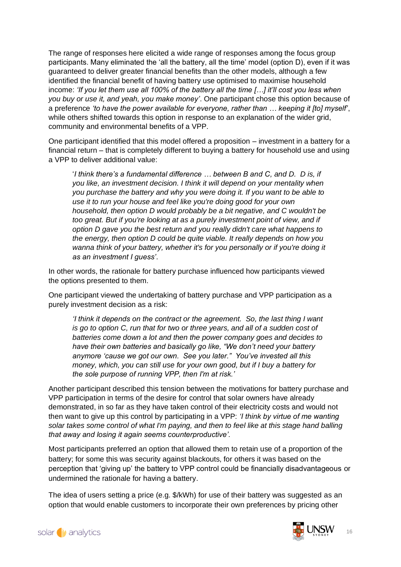The range of responses here elicited a wide range of responses among the focus group participants. Many eliminated the 'all the battery, all the time' model (option D), even if it was guaranteed to deliver greater financial benefits than the other models, although a few identified the financial benefit of having battery use optimised to maximise household income: *'If you let them use all 100% of the battery all the time […] it'll cost you less when you buy or use it, and yeah, you make money'*. One participant chose this option because of a preference *'to have the power available for everyone, rather than … keeping it [to] myself'*, while others shifted towards this option in response to an explanation of the wider grid. community and environmental benefits of a VPP.

One participant identified that this model offered a proposition – investment in a battery for a financial return – that is completely different to buying a battery for household use and using a VPP to deliver additional value:

'*I think there's a fundamental difference … between B and C, and D. D is, if you like, an investment decision. I think it will depend on your mentality when you purchase the battery and why you were doing it. If you want to be able to use it to run your house and feel like you're doing good for your own household, then option D would probably be a bit negative, and C wouldn't be too great. But if you're looking at as a purely investment point of view, and if option D gave you the best return and you really didn't care what happens to the energy, then option D could be quite viable. It really depends on how you wanna think of your battery, whether it's for you personally or if you're doing it as an investment I guess'*.

In other words, the rationale for battery purchase influenced how participants viewed the options presented to them.

One participant viewed the undertaking of battery purchase and VPP participation as a purely investment decision as a risk:

*'I think it depends on the contract or the agreement. So, the last thing I want is go to option C, run that for two or three years, and all of a sudden cost of batteries come down a lot and then the power company goes and decides to have their own batteries and basically go like, "We don't need your battery anymore 'cause we got our own. See you later." You've invested all this money, which, you can still use for your own good, but if I buy a battery for the sole purpose of running VPP, then I'm at risk.'*

Another participant described this tension between the motivations for battery purchase and VPP participation in terms of the desire for control that solar owners have already demonstrated, in so far as they have taken control of their electricity costs and would not then want to give up this control by participating in a VPP: *'I think by virtue of me wanting solar takes some control of what I'm paying, and then to feel like at this stage hand balling that away and losing it again seems counterproductive'.*

Most participants preferred an option that allowed them to retain use of a proportion of the battery; for some this was security against blackouts, for others it was based on the perception that 'giving up' the battery to VPP control could be financially disadvantageous or undermined the rationale for having a battery.

The idea of users setting a price (e.g. \$/kWh) for use of their battery was suggested as an option that would enable customers to incorporate their own preferences by pricing other

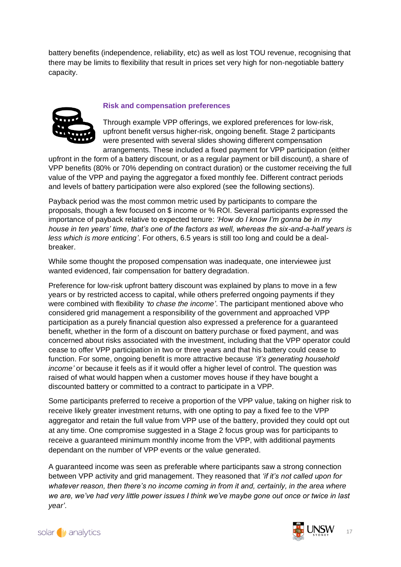battery benefits (independence, reliability, etc) as well as lost TOU revenue, recognising that there may be limits to flexibility that result in prices set very high for non-negotiable battery capacity.



#### **Risk and compensation preferences**

Through example VPP offerings, we explored preferences for low-risk, upfront benefit versus higher-risk, ongoing benefit. Stage 2 participants were presented with several slides showing different compensation arrangements. These included a fixed payment for VPP participation (either

upfront in the form of a battery discount, or as a regular payment or bill discount), a share of VPP benefits (80% or 70% depending on contract duration) or the customer receiving the full value of the VPP and paying the aggregator a fixed monthly fee. Different contract periods and levels of battery participation were also explored (see the following sections).

Payback period was the most common metric used by participants to compare the proposals, though a few focused on \$ income or % ROI. Several participants expressed the importance of payback relative to expected tenure: *'How do I know I'm gonna be in my house in ten years' time, that's one of the factors as well, whereas the six-and-a-half years is less which is more enticing'*. For others, 6.5 years is still too long and could be a dealbreaker.

While some thought the proposed compensation was inadequate, one interviewee just wanted evidenced, fair compensation for battery degradation.

Preference for low-risk upfront battery discount was explained by plans to move in a few years or by restricted access to capital, while others preferred ongoing payments if they were combined with flexibility *'to chase the income'*. The participant mentioned above who considered grid management a responsibility of the government and approached VPP participation as a purely financial question also expressed a preference for a guaranteed benefit, whether in the form of a discount on battery purchase or fixed payment, and was concerned about risks associated with the investment, including that the VPP operator could cease to offer VPP participation in two or three years and that his battery could cease to function. For some, ongoing benefit is more attractive because *'it's generating household income'* or because it feels as if it would offer a higher level of control. The question was raised of what would happen when a customer moves house if they have bought a discounted battery or committed to a contract to participate in a VPP.

Some participants preferred to receive a proportion of the VPP value, taking on higher risk to receive likely greater investment returns, with one opting to pay a fixed fee to the VPP aggregator and retain the full value from VPP use of the battery, provided they could opt out at any time. One compromise suggested in a Stage 2 focus group was for participants to receive a guaranteed minimum monthly income from the VPP, with additional payments dependant on the number of VPP events or the value generated.

A guaranteed income was seen as preferable where participants saw a strong connection between VPP activity and grid management. They reasoned that *'if it's not called upon for whatever reason, then there's no income coming in from it and, certainly, in the area where we are, we've had very little power issues I think we've maybe gone out once or twice in last year'*.

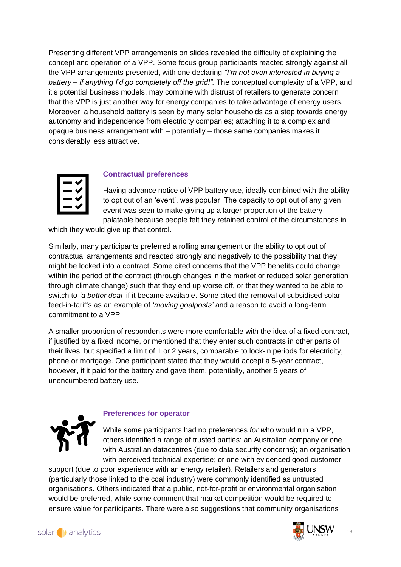Presenting different VPP arrangements on slides revealed the difficulty of explaining the concept and operation of a VPP. Some focus group participants reacted strongly against all the VPP arrangements presented, with one declaring *"I'm not even interested in buying a battery – if anything I'd go completely off the grid!".* The conceptual complexity of a VPP, and it's potential business models, may combine with distrust of retailers to generate concern that the VPP is just another way for energy companies to take advantage of energy users. Moreover, a household battery is seen by many solar households as a step towards energy autonomy and independence from electricity companies; attaching it to a complex and opaque business arrangement with – potentially – those same companies makes it considerably less attractive.



#### **Contractual preferences**

Having advance notice of VPP battery use, ideally combined with the ability to opt out of an 'event', was popular. The capacity to opt out of any given event was seen to make giving up a larger proportion of the battery palatable because people felt they retained control of the circumstances in

which they would give up that control.

Similarly, many participants preferred a rolling arrangement or the ability to opt out of contractual arrangements and reacted strongly and negatively to the possibility that they might be locked into a contract. Some cited concerns that the VPP benefits could change within the period of the contract (through changes in the market or reduced solar generation through climate change) such that they end up worse off, or that they wanted to be able to switch to *'a better deal'* if it became available. Some cited the removal of subsidised solar feed-in-tariffs as an example of *'moving goalposts'* and a reason to avoid a long-term commitment to a VPP.

A smaller proportion of respondents were more comfortable with the idea of a fixed contract, if justified by a fixed income, or mentioned that they enter such contracts in other parts of their lives, but specified a limit of 1 or 2 years, comparable to lock-in periods for electricity, phone or mortgage. One participant stated that they would accept a 5-year contract, however, if it paid for the battery and gave them, potentially, another 5 years of unencumbered battery use.



#### **Preferences for operator**

While some participants had no preferences *for w*ho would run a VPP, others identified a range of trusted parties: an Australian company or one with Australian datacentres (due to data security concerns); an organisation with perceived technical expertise; or one with evidenced good customer

support (due to poor experience with an energy retailer). Retailers and generators (particularly those linked to the coal industry) were commonly identified as untrusted organisations. Others indicated that a public, not-for-profit or environmental organisation would be preferred, while some comment that market competition would be required to ensure value for participants. There were also suggestions that community organisations

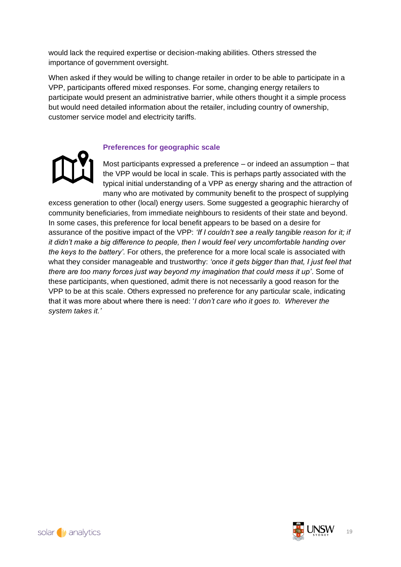would lack the required expertise or decision-making abilities. Others stressed the importance of government oversight.

When asked if they would be willing to change retailer in order to be able to participate in a VPP, participants offered mixed responses. For some, changing energy retailers to participate would present an administrative barrier, while others thought it a simple process but would need detailed information about the retailer, including country of ownership, customer service model and electricity tariffs.



#### **Preferences for geographic scale**

Most participants expressed a preference – or indeed an assumption – that the VPP would be local in scale. This is perhaps partly associated with the typical initial understanding of a VPP as energy sharing and the attraction of many who are motivated by community benefit to the prospect of supplying

excess generation to other (local) energy users. Some suggested a geographic hierarchy of community beneficiaries, from immediate neighbours to residents of their state and beyond. In some cases, this preference for local benefit appears to be based on a desire for assurance of the positive impact of the VPP: *'If I couldn't see a really tangible reason for it; if it didn't make a big difference to people, then I would feel very uncomfortable handing over the keys to the battery'.* For others, the preference for a more local scale is associated with what they consider manageable and trustworthy: *'once it gets bigger than that, I just feel that there are too many forces just way beyond my imagination that could mess it up'*. Some of these participants, when questioned, admit there is not necessarily a good reason for the VPP to be at this scale. Others expressed no preference for any particular scale, indicating that it was more about where there is need: '*I don't care who it goes to. Wherever the system takes it.'*

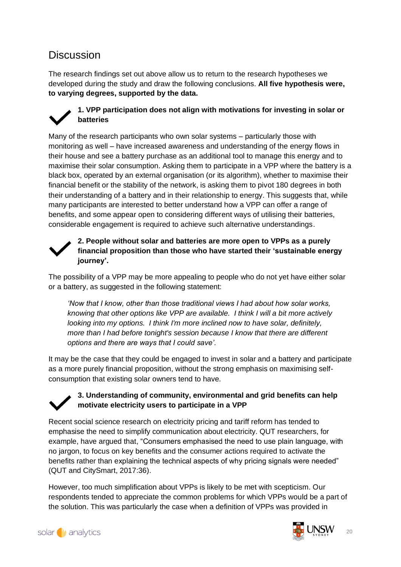### **Discussion**

The research findings set out above allow us to return to the research hypotheses we developed during the study and draw the following conclusions. **All five hypothesis were, to varying degrees, supported by the data.** 



#### **1. VPP participation does not align with motivations for investing in solar or batteries**

Many of the research participants who own solar systems – particularly those with monitoring as well – have increased awareness and understanding of the energy flows in their house and see a battery purchase as an additional tool to manage this energy and to maximise their solar consumption. Asking them to participate in a VPP where the battery is a black box, operated by an external organisation (or its algorithm), whether to maximise their financial benefit or the stability of the network, is asking them to pivot 180 degrees in both their understanding of a battery and in their relationship to energy. This suggests that, while many participants are interested to better understand how a VPP can offer a range of benefits, and some appear open to considering different ways of utilising their batteries, considerable engagement is required to achieve such alternative understandings.



#### **2. People without solar and batteries are more open to VPPs as a purely financial proposition than those who have started their 'sustainable energy journey'.**

The possibility of a VPP may be more appealing to people who do not yet have either solar or a battery, as suggested in the following statement:

*'Now that I know, other than those traditional views I had about how solar works, knowing that other options like VPP are available. I think I will a bit more actively looking into my options. I think I'm more inclined now to have solar, definitely, more than I had before tonight's session because I know that there are different options and there are ways that I could save'.* 

It may be the case that they could be engaged to invest in solar and a battery and participate as a more purely financial proposition, without the strong emphasis on maximising selfconsumption that existing solar owners tend to have.

#### **3. Understanding of community, environmental and grid benefits can help motivate electricity users to participate in a VPP**

Recent social science research on electricity pricing and tariff reform has tended to emphasise the need to simplify communication about electricity. QUT researchers, for example, have argued that, "Consumers emphasised the need to use plain language, with no jargon, to focus on key benefits and the consumer actions required to activate the benefits rather than explaining the technical aspects of why pricing signals were needed" (QUT and CitySmart, 2017:36).

However, too much simplification about VPPs is likely to be met with scepticism. Our respondents tended to appreciate the common problems for which VPPs would be a part of the solution. This was particularly the case when a definition of VPPs was provided in

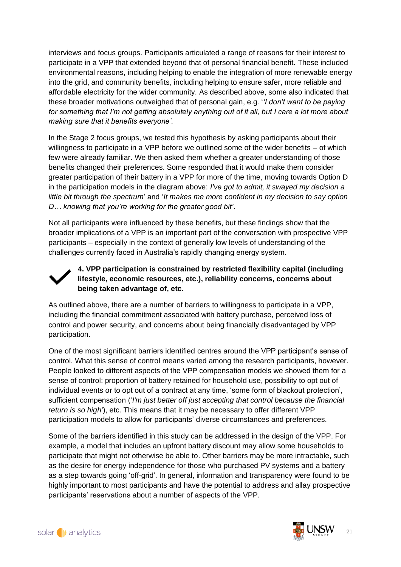interviews and focus groups. Participants articulated a range of reasons for their interest to participate in a VPP that extended beyond that of personal financial benefit. These included environmental reasons, including helping to enable the integration of more renewable energy into the grid, and community benefits, including helping to ensure safer, more reliable and affordable electricity for the wider community. As described above, some also indicated that these broader motivations outweighed that of personal gain, e.g. '*'I don't want to be paying for something that I'm not getting absolutely anything out of it all, but I care a lot more about making sure that it benefits everyone'.* 

In the Stage 2 focus groups, we tested this hypothesis by asking participants about their willingness to participate in a VPP before we outlined some of the wider benefits – of which few were already familiar. We then asked them whether a greater understanding of those benefits changed their preferences. Some responded that it would make them consider greater participation of their battery in a VPP for more of the time, moving towards Option D in the participation models in the diagram above: *I've got to admit, it swayed my decision a little bit through the spectrum*' and '*It makes me more confident in my decision to say option D… knowing that you're working for the greater good bit'*.

Not all participants were influenced by these benefits, but these findings show that the broader implications of a VPP is an important part of the conversation with prospective VPP participants – especially in the context of generally low levels of understanding of the challenges currently faced in Australia's rapidly changing energy system.

#### **4. VPP participation is constrained by restricted flexibility capital (including lifestyle, economic resources, etc.), reliability concerns, concerns about being taken advantage of, etc.**

As outlined above, there are a number of barriers to willingness to participate in a VPP, including the financial commitment associated with battery purchase, perceived loss of control and power security, and concerns about being financially disadvantaged by VPP participation.

One of the most significant barriers identified centres around the VPP participant's sense of control. What this sense of control means varied among the research participants, however. People looked to different aspects of the VPP compensation models we showed them for a sense of control: proportion of battery retained for household use, possibility to opt out of individual events or to opt out of a contract at any time, 'some form of blackout protection', sufficient compensation ('*I'm just better off just accepting that control because the financial return is so high'*), etc. This means that it may be necessary to offer different VPP participation models to allow for participants' diverse circumstances and preferences.

Some of the barriers identified in this study can be addressed in the design of the VPP. For example, a model that includes an upfront battery discount may allow some households to participate that might not otherwise be able to. Other barriers may be more intractable, such as the desire for energy independence for those who purchased PV systems and a battery as a step towards going 'off-grid'. In general, information and transparency were found to be highly important to most participants and have the potential to address and allay prospective participants' reservations about a number of aspects of the VPP.



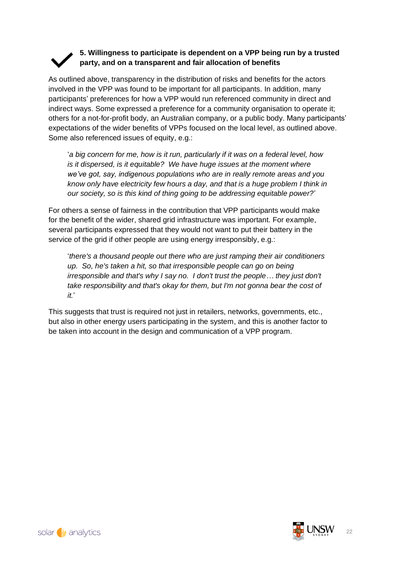### **5. Willingness to participate is dependent on a VPP being run by a trusted party, and on a transparent and fair allocation of benefits**

As outlined above, transparency in the distribution of risks and benefits for the actors involved in the VPP was found to be important for all participants. In addition, many participants' preferences for how a VPP would run referenced community in direct and indirect ways. Some expressed a preference for a community organisation to operate it; others for a not-for-profit body, an Australian company, or a public body. Many participants' expectations of the wider benefits of VPPs focused on the local level, as outlined above. Some also referenced issues of equity, e.g.:

'*a big concern for me, how is it run, particularly if it was on a federal level, how is it dispersed, is it equitable?* We have huge *issues at the moment where we've got, say, indigenous populations who are in really remote areas and you know only have electricity few hours a day, and that is a huge problem I think in our society, so is this kind of thing going to be addressing equitable power?*'

For others a sense of fairness in the contribution that VPP participants would make for the benefit of the wider, shared grid infrastructure was important. For example, several participants expressed that they would not want to put their battery in the service of the grid if other people are using energy irresponsibly, e.g.:

'*there's a thousand people out there who are just ramping their air conditioners up. So, he's taken a hit, so that irresponsible people can go on being irresponsible and that's why I say no. I don't trust the people… they just don't take responsibility and that's okay for them, but I'm not gonna bear the cost of it.*'

This suggests that trust is required not just in retailers, networks, governments, etc., but also in other energy users participating in the system, and this is another factor to be taken into account in the design and communication of a VPP program.

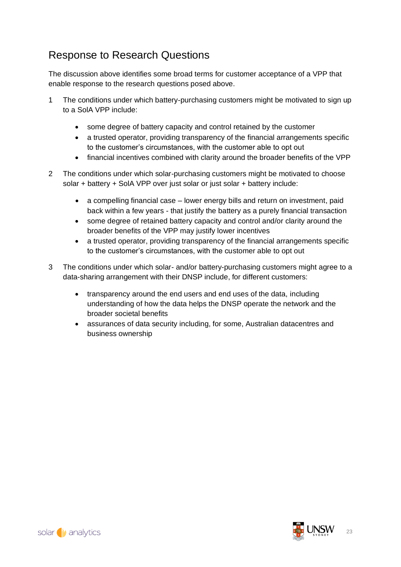## Response to Research Questions

The discussion above identifies some broad terms for customer acceptance of a VPP that enable response to the research questions posed above.

- 1 The conditions under which battery-purchasing customers might be motivated to sign up to a SolA VPP include:
	- some degree of battery capacity and control retained by the customer
	- a trusted operator, providing transparency of the financial arrangements specific to the customer's circumstances, with the customer able to opt out
	- financial incentives combined with clarity around the broader benefits of the VPP
- 2 The conditions under which solar-purchasing customers might be motivated to choose solar + battery + SolA VPP over just solar or just solar + battery include:
	- a compelling financial case lower energy bills and return on investment, paid back within a few years - that justify the battery as a purely financial transaction
	- some degree of retained battery capacity and control and/or clarity around the broader benefits of the VPP may justify lower incentives
	- a trusted operator, providing transparency of the financial arrangements specific to the customer's circumstances, with the customer able to opt out
- 3 The conditions under which solar- and/or battery-purchasing customers might agree to a data-sharing arrangement with their DNSP include, for different customers:
	- transparency around the end users and end uses of the data, including understanding of how the data helps the DNSP operate the network and the broader societal benefits
	- assurances of data security including, for some, Australian datacentres and business ownership